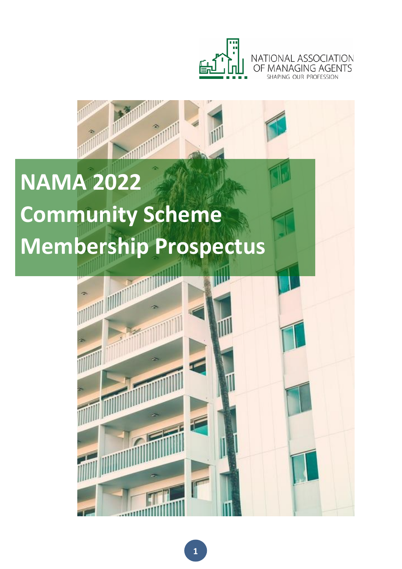



# **NAMA 2022 Community Scheme Membership Prospectus**

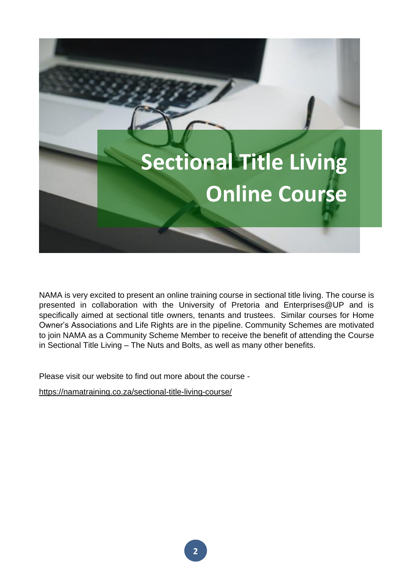

NAMA is very excited to present an online training course in sectional title living. The course is presented in collaboration with the University of Pretoria and Enterprises@UP and is specifically aimed at sectional title owners, tenants and trustees. Similar courses for Home Owner's Associations and Life Rights are in the pipeline. Community Schemes are motivated to join NAMA as a Community Scheme Member to receive the benefit of attending the Course in Sectional Title Living – The Nuts and Bolts, as well as many other benefits.

Please visit our website to find out more about the course -

<https://namatraining.co.za/sectional-title-living-course/>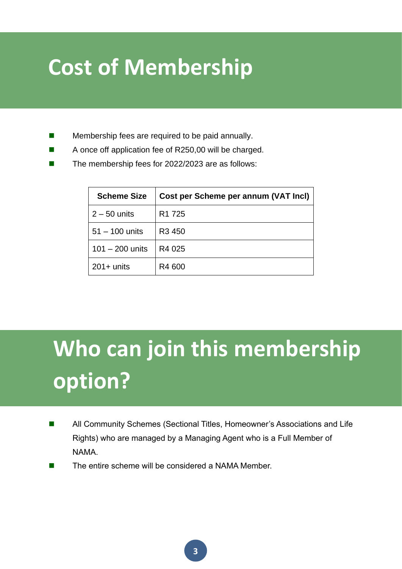### **Cost of Membership**

- Membership fees are required to be paid annually.
- A once off application fee of R250,00 will be charged.
- The membership fees for 2022/2023 are as follows:

| <b>Scheme Size</b> | Cost per Scheme per annum (VAT Incl) |
|--------------------|--------------------------------------|
| $2 - 50$ units     | R <sub>1</sub> 725                   |
| $51 - 100$ units   | R <sub>3</sub> 450                   |
| $101 - 200$ units  | R4 025                               |
| $201 +$ units      | R4 600                               |

## **Who can join this membership option?**

- All Community Schemes (Sectional Titles, Homeowner's Associations and Life Rights) who are managed by a Managing Agent who is a Full Member of NAMA.
- The entire scheme will be considered a NAMA Member.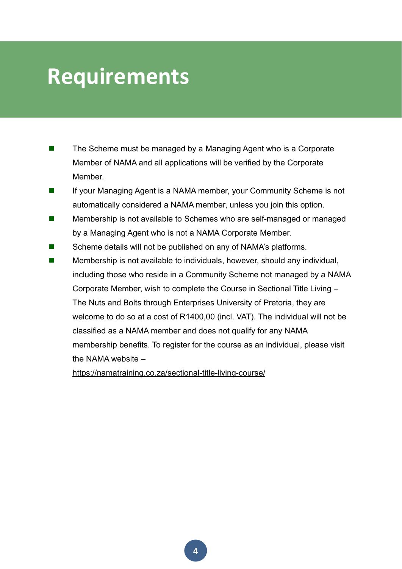#### **Requirements**

- The Scheme must be managed by a Managing Agent who is a Corporate Member of NAMA and all applications will be verified by the Corporate Member.
- ◼ If your Managing Agent is a NAMA member, your Community Scheme is not automatically considered a NAMA member, unless you join this option.
- Membership is not available to Schemes who are self-managed or managed by a Managing Agent who is not a NAMA Corporate Member.
- Scheme details will not be published on any of NAMA's platforms.
- Membership is not available to individuals, however, should any individual, including those who reside in a Community Scheme not managed by a NAMA Corporate Member, wish to complete the Course in Sectional Title Living – The Nuts and Bolts through Enterprises University of Pretoria, they are welcome to do so at a cost of R1400,00 (incl. VAT). The individual will not be classified as a NAMA member and does not qualify for any NAMA membership benefits. To register for the course as an individual, please visit the NAMA website –

<https://namatraining.co.za/sectional-title-living-course/>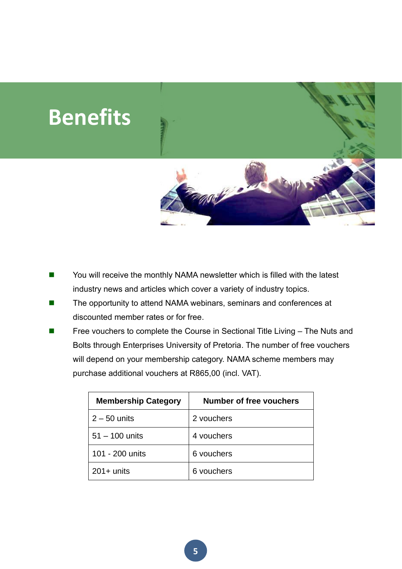

- You will receive the monthly NAMA newsletter which is filled with the latest industry news and articles which cover a variety of industry topics.
- The opportunity to attend NAMA webinars, seminars and conferences at discounted member rates or for free.
- Free vouchers to complete the Course in Sectional Title Living The Nuts and Bolts through Enterprises University of Pretoria. The number of free vouchers will depend on your membership category. NAMA scheme members may purchase additional vouchers at R865,00 (incl. VAT).

| <b>Membership Category</b> | Number of free vouchers |
|----------------------------|-------------------------|
| $2 - 50$ units             | 2 vouchers              |
| $51 - 100$ units           | 4 vouchers              |
| 101 - 200 units            | 6 vouchers              |
| $201 +$ units              | 6 vouchers              |